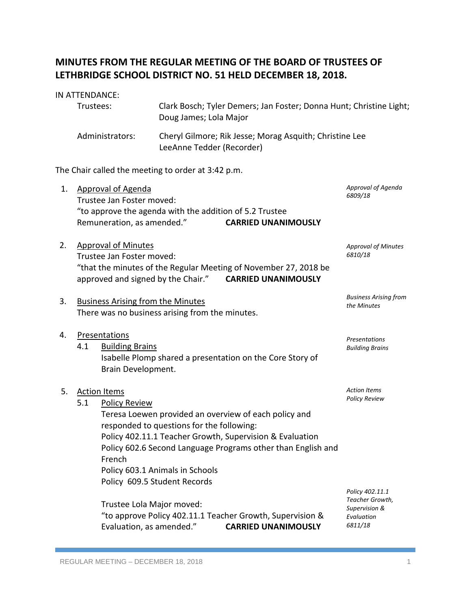# **MINUTES FROM THE REGULAR MEETING OF THE BOARD OF TRUSTEES OF LETHBRIDGE SCHOOL DISTRICT NO. 51 HELD DECEMBER 18, 2018.**

# IN ATTENDANCE:

| Trustees:       | Clark Bosch; Tyler Demers; Jan Foster; Donna Hunt; Christine Light;<br>Doug James; Lola Major |
|-----------------|-----------------------------------------------------------------------------------------------|
| Administrators: | Cheryl Gilmore; Rik Jesse; Morag Asquith; Christine Lee<br>LeeAnne Tedder (Recorder)          |

The Chair called the meeting to order at 3:42 p.m.

| 1. | <b>Approval of Agenda</b>                                        | Approval of Agenda                                                                                                       |                            |                                       |  |  |  |
|----|------------------------------------------------------------------|--------------------------------------------------------------------------------------------------------------------------|----------------------------|---------------------------------------|--|--|--|
|    | Trustee Jan Foster moved:                                        | 6809/18                                                                                                                  |                            |                                       |  |  |  |
|    |                                                                  | "to approve the agenda with the addition of 5.2 Trustee                                                                  |                            |                                       |  |  |  |
|    |                                                                  | Remuneration, as amended."                                                                                               | <b>CARRIED UNANIMOUSLY</b> |                                       |  |  |  |
| 2. |                                                                  | <b>Approval of Minutes</b>                                                                                               |                            | <b>Approval of Minutes</b><br>6810/18 |  |  |  |
|    |                                                                  | Trustee Jan Foster moved:                                                                                                |                            |                                       |  |  |  |
|    | "that the minutes of the Regular Meeting of November 27, 2018 be |                                                                                                                          |                            |                                       |  |  |  |
|    | approved and signed by the Chair." CARRIED UNANIMOUSLY           |                                                                                                                          |                            |                                       |  |  |  |
| 3. | <b>Business Arising from the Minutes</b>                         | <b>Business Arising from</b><br>the Minutes                                                                              |                            |                                       |  |  |  |
|    | There was no business arising from the minutes.                  |                                                                                                                          |                            |                                       |  |  |  |
| 4. |                                                                  | Presentations                                                                                                            |                            | <b>Presentations</b>                  |  |  |  |
|    | 4.1                                                              | <b>Building Brains</b>                                                                                                   | <b>Building Brains</b>     |                                       |  |  |  |
|    |                                                                  | Isabelle Plomp shared a presentation on the Core Story of                                                                |                            |                                       |  |  |  |
|    |                                                                  | Brain Development.                                                                                                       |                            |                                       |  |  |  |
| 5. |                                                                  | <b>Action Items</b>                                                                                                      |                            | <b>Action Items</b>                   |  |  |  |
|    | 5.1                                                              | <b>Policy Review</b>                                                                                                     | <b>Policy Review</b>       |                                       |  |  |  |
|    |                                                                  | Teresa Loewen provided an overview of each policy and<br>responded to questions for the following:                       |                            |                                       |  |  |  |
|    |                                                                  |                                                                                                                          |                            |                                       |  |  |  |
|    |                                                                  | Policy 402.11.1 Teacher Growth, Supervision & Evaluation<br>Policy 602.6 Second Language Programs other than English and |                            |                                       |  |  |  |
|    |                                                                  | French                                                                                                                   |                            |                                       |  |  |  |
|    |                                                                  | Policy 603.1 Animals in Schools                                                                                          |                            |                                       |  |  |  |
|    |                                                                  | Policy 609.5 Student Records                                                                                             |                            |                                       |  |  |  |
|    |                                                                  |                                                                                                                          |                            | Policy 402.11.1<br>Teacher Growth,    |  |  |  |
|    |                                                                  | Trustee Lola Major moved:                                                                                                |                            | Supervision &                         |  |  |  |
|    |                                                                  | "to approve Policy 402.11.1 Teacher Growth, Supervision &                                                                |                            | Evaluation                            |  |  |  |
|    |                                                                  | Evaluation, as amended."                                                                                                 | <b>CARRIED UNANIMOUSLY</b> | 6811/18                               |  |  |  |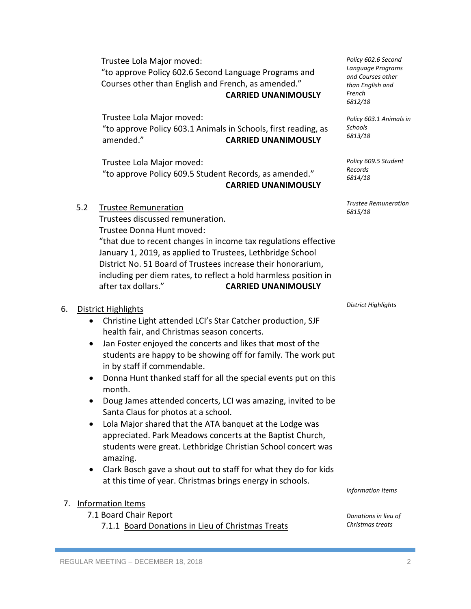Trustee Lola Major moved: "to approve Policy 602.6 Second Language Programs and Courses other than English and French, as amended."

**CARRIED UNANIMOUSLY**

Trustee Lola Major moved: "to approve Policy 603.1 Animals in Schools, first reading, as amended." **CARRIED UNANIMOUSLY**

Trustee Lola Major moved: "to approve Policy 609.5 Student Records, as amended." **CARRIED UNANIMOUSLY**

#### 5.2 Trustee Remuneration

Trustees discussed remuneration. Trustee Donna Hunt moved: "that due to recent changes in income tax regulations effective January 1, 2019, as applied to Trustees, Lethbridge School District No. 51 Board of Trustees increase their honorarium, including per diem rates, to reflect a hold harmless position in after tax dollars." **CARRIED UNANIMOUSLY**

### 6. District Highlights

- Christine Light attended LCI's Star Catcher production, SJF health fair, and Christmas season concerts.
- Jan Foster enjoyed the concerts and likes that most of the students are happy to be showing off for family. The work put in by staff if commendable.
- Donna Hunt thanked staff for all the special events put on this month.
- Doug James attended concerts, LCI was amazing, invited to be Santa Claus for photos at a school.
- Lola Major shared that the ATA banquet at the Lodge was appreciated. Park Meadows concerts at the Baptist Church, students were great. Lethbridge Christian School concert was amazing.
- Clark Bosch gave a shout out to staff for what they do for kids at this time of year. Christmas brings energy in schools.

## 7. Information Items

7.1 Board Chair Report

7.1.1 Board Donations in Lieu of Christmas Treats

*Trustee Remuneration 6815/18*

*Policy 609.5 Student* 

*Policy 602.6 Second Language Programs and Courses other than English and* 

*Policy 603.1 Animals in* 

*French 6812/18*

*Schools 6813/18*

*Records 6814/18*

*District Highlights*

*Information Items*

*Donations in lieu of Christmas treats*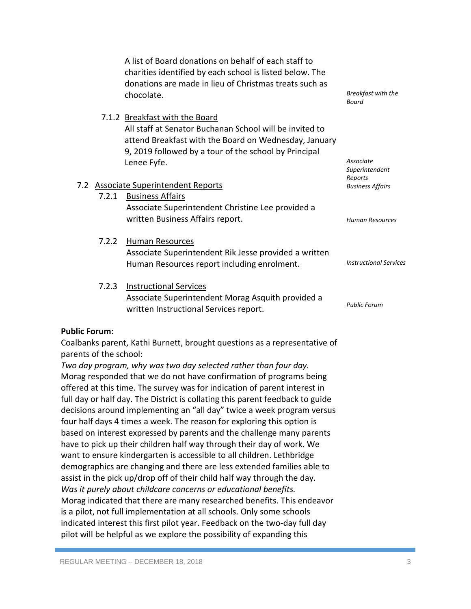A list of Board donations on behalf of each staff to charities identified by each school is listed below. The donations are made in lieu of Christmas treats such as chocolate.

All staff at Senator Buchanan School will be invited to attend Breakfast with the Board on Wednesday, January

7.1.2 Breakfast with the Board

*Breakfast with the Board*

#### 9, 2019 followed by a tour of the school by Principal Lenee Fyfe. 7.2 Associate Superintendent Reports 7.2.1 Business Affairs Associate Superintendent Christine Lee provided a written Business Affairs report. 7.2.2 Human Resources Associate Superintendent Rik Jesse provided a written Human Resources report including enrolment. 7.2.3 Instructional Services Associate Superintendent Morag Asquith provided a written Instructional Services report. *Associate Superintendent Reports Business Affairs Human Resources Instructional Services Public Forum*

## **Public Forum**:

Coalbanks parent, Kathi Burnett, brought questions as a representative of parents of the school:

*Two day program, why was two day selected rather than four day.*  Morag responded that we do not have confirmation of programs being offered at this time. The survey was for indication of parent interest in full day or half day. The District is collating this parent feedback to guide decisions around implementing an "all day" twice a week program versus four half days 4 times a week. The reason for exploring this option is based on interest expressed by parents and the challenge many parents have to pick up their children half way through their day of work. We want to ensure kindergarten is accessible to all children. Lethbridge demographics are changing and there are less extended families able to assist in the pick up/drop off of their child half way through the day. *Was it purely about childcare concerns or educational benefits.*  Morag indicated that there are many researched benefits. This endeavor is a pilot, not full implementation at all schools. Only some schools indicated interest this first pilot year. Feedback on the two-day full day pilot will be helpful as we explore the possibility of expanding this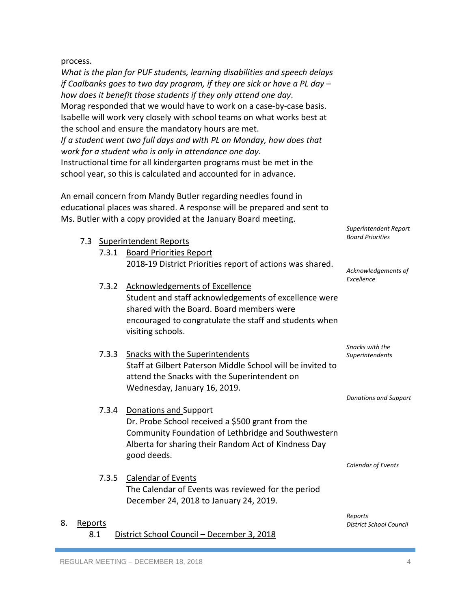process.

*What is the plan for PUF students, learning disabilities and speech delays if Coalbanks goes to two day program, if they are sick or have a PL day – how does it benefit those students if they only attend one day*. Morag responded that we would have to work on a case-by-case basis. Isabelle will work very closely with school teams on what works best at the school and ensure the mandatory hours are met. *If a student went two full days and with PL on Monday, how does that work for a student who is only in attendance one day.* Instructional time for all kindergarten programs must be met in the school year, so this is calculated and accounted for in advance.

An email concern from Mandy Butler regarding needles found in educational places was shared. A response will be prepared and sent to Ms. Butler with a copy provided at the January Board meeting.

|    |         |       | 7.3 Superintendent Reports                                                                           | <b>Board Priorities</b>                   |
|----|---------|-------|------------------------------------------------------------------------------------------------------|-------------------------------------------|
|    |         |       | 7.3.1 Board Priorities Report                                                                        |                                           |
|    |         |       | 2018-19 District Priorities report of actions was shared.                                            | Acknowledgements of                       |
|    |         |       |                                                                                                      | Excellence                                |
|    |         | 7.3.2 | <b>Acknowledgements of Excellence</b>                                                                |                                           |
|    |         |       | Student and staff acknowledgements of excellence were                                                |                                           |
|    |         |       | shared with the Board. Board members were                                                            |                                           |
|    |         |       | encouraged to congratulate the staff and students when<br>visiting schools.                          |                                           |
|    |         |       |                                                                                                      | Snacks with the                           |
|    |         | 7.3.3 | <b>Snacks with the Superintendents</b><br>Staff at Gilbert Paterson Middle School will be invited to | Superintendents                           |
|    |         |       | attend the Snacks with the Superintendent on                                                         |                                           |
|    |         |       | Wednesday, January 16, 2019.                                                                         |                                           |
|    |         |       |                                                                                                      | <b>Donations and Support</b>              |
|    |         | 7.3.4 | Donations and Support                                                                                |                                           |
|    |         |       | Dr. Probe School received a \$500 grant from the                                                     |                                           |
|    |         |       | Community Foundation of Lethbridge and Southwestern                                                  |                                           |
|    |         |       | Alberta for sharing their Random Act of Kindness Day<br>good deeds.                                  |                                           |
|    |         |       |                                                                                                      | <b>Calendar of Events</b>                 |
|    |         | 7.3.5 | <b>Calendar of Events</b>                                                                            |                                           |
|    |         |       | The Calendar of Events was reviewed for the period                                                   |                                           |
|    |         |       | December 24, 2018 to January 24, 2019.                                                               |                                           |
| 8. | Reports |       |                                                                                                      | Reports<br><b>District School Council</b> |

8.1 District School Council – December 3, 2018

*District School Council*

*Superintendent Report*